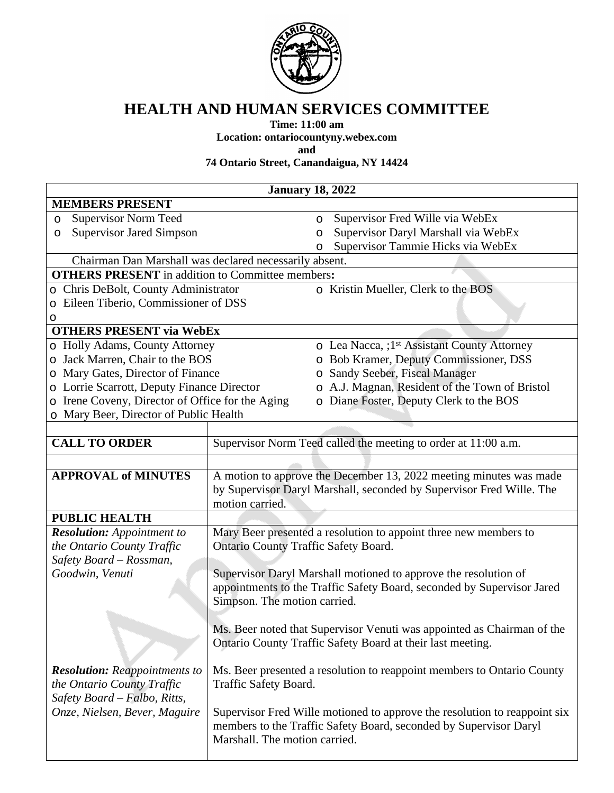

## **HEALTH AND HUMAN SERVICES COMMITTEE**

**Time: 11:00 am**

**Location: ontariocountyny.webex.com**

**and**

**74 Ontario Street, Canandaigua, NY 14424**

|                                                         | <b>January 18, 2022</b>                                                |         |                                                                                                                                                |  |
|---------------------------------------------------------|------------------------------------------------------------------------|---------|------------------------------------------------------------------------------------------------------------------------------------------------|--|
| <b>MEMBERS PRESENT</b>                                  |                                                                        |         |                                                                                                                                                |  |
| <b>Supervisor Norm Teed</b><br>$\circ$                  |                                                                        | $\circ$ | Supervisor Fred Wille via WebEx                                                                                                                |  |
| <b>Supervisor Jared Simpson</b><br>O                    |                                                                        | O       | Supervisor Daryl Marshall via WebEx                                                                                                            |  |
|                                                         |                                                                        | O       | Supervisor Tammie Hicks via WebEx                                                                                                              |  |
| Chairman Dan Marshall was declared necessarily absent.  |                                                                        |         |                                                                                                                                                |  |
| <b>OTHERS PRESENT</b> in addition to Committee members: |                                                                        |         |                                                                                                                                                |  |
| Chris DeBolt, County Administrator<br>$\circ$           |                                                                        |         | o Kristin Mueller, Clerk to the BOS                                                                                                            |  |
| Eileen Tiberio, Commissioner of DSS                     |                                                                        |         |                                                                                                                                                |  |
| O                                                       |                                                                        |         |                                                                                                                                                |  |
| <b>OTHERS PRESENT via WebEx</b>                         |                                                                        |         |                                                                                                                                                |  |
| o Holly Adams, County Attorney                          |                                                                        |         | o Lea Nacca, ;1 <sup>st</sup> Assistant County Attorney                                                                                        |  |
| Jack Marren, Chair to the BOS<br>O                      |                                                                        |         | o Bob Kramer, Deputy Commissioner, DSS                                                                                                         |  |
| Mary Gates, Director of Finance<br>$\circ$              |                                                                        |         | o Sandy Seeber, Fiscal Manager                                                                                                                 |  |
| o Lorrie Scarrott, Deputy Finance Director              |                                                                        |         | o A.J. Magnan, Resident of the Town of Bristol                                                                                                 |  |
| Irene Coveny, Director of Office for the Aging<br>O     |                                                                        |         | o Diane Foster, Deputy Clerk to the BOS                                                                                                        |  |
| Mary Beer, Director of Public Health<br>$\circ$         |                                                                        |         |                                                                                                                                                |  |
|                                                         |                                                                        |         |                                                                                                                                                |  |
| <b>CALL TO ORDER</b>                                    |                                                                        |         | Supervisor Norm Teed called the meeting to order at 11:00 a.m.                                                                                 |  |
|                                                         |                                                                        |         |                                                                                                                                                |  |
| <b>APPROVAL of MINUTES</b>                              |                                                                        |         | A motion to approve the December 13, 2022 meeting minutes was made<br>by Supervisor Daryl Marshall, seconded by Supervisor Fred Wille. The     |  |
|                                                         | motion carried.                                                        |         |                                                                                                                                                |  |
| <b>PUBLIC HEALTH</b>                                    |                                                                        |         |                                                                                                                                                |  |
| <b>Resolution:</b> Appointment to                       |                                                                        |         | Mary Beer presented a resolution to appoint three new members to                                                                               |  |
| the Ontario County Traffic                              | <b>Ontario County Traffic Safety Board.</b>                            |         |                                                                                                                                                |  |
| Safety Board - Rossman,                                 |                                                                        |         |                                                                                                                                                |  |
| Goodwin, Venuti                                         |                                                                        |         | Supervisor Daryl Marshall motioned to approve the resolution of                                                                                |  |
|                                                         |                                                                        |         | appointments to the Traffic Safety Board, seconded by Supervisor Jared                                                                         |  |
|                                                         | Simpson. The motion carried.                                           |         |                                                                                                                                                |  |
|                                                         |                                                                        |         |                                                                                                                                                |  |
|                                                         |                                                                        |         | Ms. Beer noted that Supervisor Venuti was appointed as Chairman of the                                                                         |  |
|                                                         |                                                                        |         | Ontario County Traffic Safety Board at their last meeting.                                                                                     |  |
| <b>Resolution:</b> Reappointments to                    | Ms. Beer presented a resolution to reappoint members to Ontario County |         |                                                                                                                                                |  |
| the Ontario County Traffic                              | Traffic Safety Board.                                                  |         |                                                                                                                                                |  |
| Safety Board - Falbo, Ritts,                            |                                                                        |         |                                                                                                                                                |  |
| Onze, Nielsen, Bever, Maguire                           | Marshall. The motion carried.                                          |         | Supervisor Fred Wille motioned to approve the resolution to reappoint six<br>members to the Traffic Safety Board, seconded by Supervisor Daryl |  |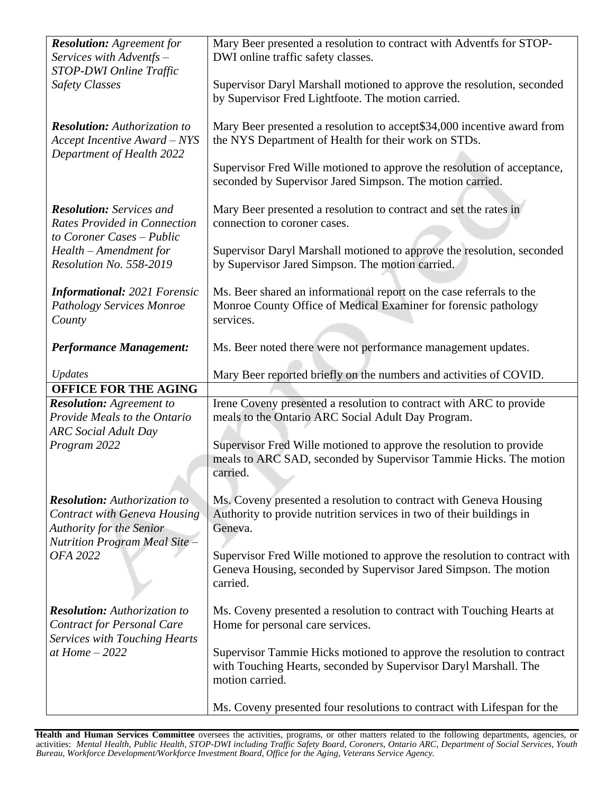| <b>Resolution:</b> Agreement for<br>Services with Adventfs -                                                     | Mary Beer presented a resolution to contract with Adventfs for STOP-<br>DWI online traffic safety classes.                                                                                                                                                              |
|------------------------------------------------------------------------------------------------------------------|-------------------------------------------------------------------------------------------------------------------------------------------------------------------------------------------------------------------------------------------------------------------------|
| STOP-DWI Online Traffic<br><b>Safety Classes</b>                                                                 | Supervisor Daryl Marshall motioned to approve the resolution, seconded<br>by Supervisor Fred Lightfoote. The motion carried.                                                                                                                                            |
| <b>Resolution:</b> Authorization to<br><b>Accept Incentive Award - NYS</b><br>Department of Health 2022          | Mary Beer presented a resolution to accept\$34,000 incentive award from<br>the NYS Department of Health for their work on STDs.<br>Supervisor Fred Wille motioned to approve the resolution of acceptance,<br>seconded by Supervisor Jared Simpson. The motion carried. |
| <b>Resolution:</b> Services and<br><b>Rates Provided in Connection</b>                                           | Mary Beer presented a resolution to contract and set the rates in<br>connection to coroner cases.                                                                                                                                                                       |
| to Coroner Cases - Public<br>Health - Amendment for<br>Resolution No. 558-2019                                   | Supervisor Daryl Marshall motioned to approve the resolution, seconded<br>by Supervisor Jared Simpson. The motion carried.                                                                                                                                              |
| <b>Informational: 2021 Forensic</b><br><b>Pathology Services Monroe</b><br>County                                | Ms. Beer shared an informational report on the case referrals to the<br>Monroe County Office of Medical Examiner for forensic pathology<br>services.                                                                                                                    |
| <b>Performance Management:</b>                                                                                   | Ms. Beer noted there were not performance management updates.                                                                                                                                                                                                           |
| <b>Updates</b>                                                                                                   | Mary Beer reported briefly on the numbers and activities of COVID.                                                                                                                                                                                                      |
| <b>OFFICE FOR THE AGING</b>                                                                                      |                                                                                                                                                                                                                                                                         |
| <b>Resolution:</b> Agreement to<br>Provide Meals to the Ontario<br><b>ARC</b> Social Adult Day                   | Irene Coveny presented a resolution to contract with ARC to provide<br>meals to the Ontario ARC Social Adult Day Program.                                                                                                                                               |
| Program 2022                                                                                                     | Supervisor Fred Wille motioned to approve the resolution to provide<br>meals to ARC SAD, seconded by Supervisor Tammie Hicks. The motion<br>carried.                                                                                                                    |
| <b>Resolution:</b> Authorization to<br><b>Contract with Geneva Housing</b><br><b>Authority for the Senior</b>    | Ms. Coveny presented a resolution to contract with Geneva Housing<br>Authority to provide nutrition services in two of their buildings in<br>Geneva.                                                                                                                    |
| <b>Nutrition Program Meal Site -</b><br>OFA 2022                                                                 | Supervisor Fred Wille motioned to approve the resolution to contract with<br>Geneva Housing, seconded by Supervisor Jared Simpson. The motion<br>carried.                                                                                                               |
| <b>Resolution:</b> Authorization to<br><b>Contract for Personal Care</b><br><b>Services with Touching Hearts</b> | Ms. Coveny presented a resolution to contract with Touching Hearts at<br>Home for personal care services.                                                                                                                                                               |
| at Home $-2022$                                                                                                  | Supervisor Tammie Hicks motioned to approve the resolution to contract<br>with Touching Hearts, seconded by Supervisor Daryl Marshall. The<br>motion carried.                                                                                                           |
|                                                                                                                  | Ms. Coveny presented four resolutions to contract with Lifespan for the                                                                                                                                                                                                 |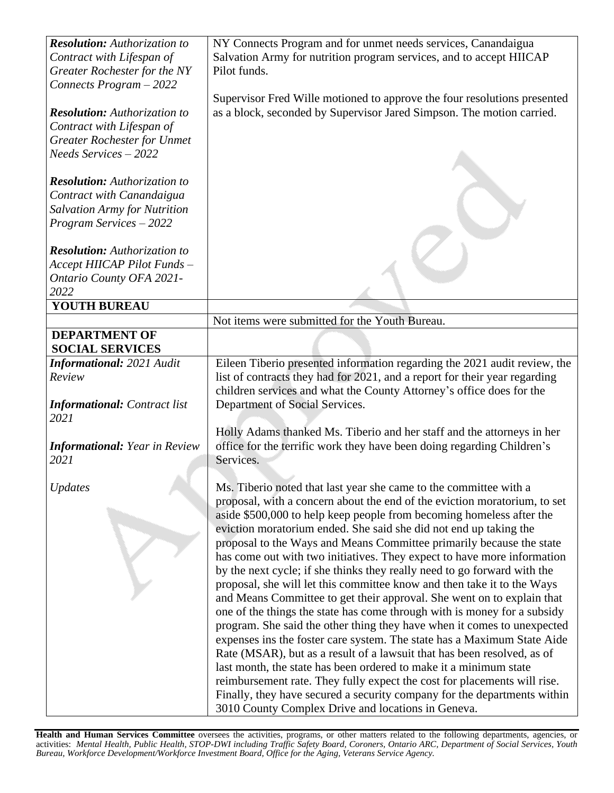| <b>Resolution:</b> Authorization to  | NY Connects Program and for unmet needs services, Canandaigua              |
|--------------------------------------|----------------------------------------------------------------------------|
| Contract with Lifespan of            | Salvation Army for nutrition program services, and to accept HIICAP        |
| Greater Rochester for the NY         | Pilot funds.                                                               |
| Connects Program - 2022              |                                                                            |
|                                      | Supervisor Fred Wille motioned to approve the four resolutions presented   |
| <b>Resolution:</b> Authorization to  | as a block, seconded by Supervisor Jared Simpson. The motion carried.      |
| Contract with Lifespan of            |                                                                            |
| <b>Greater Rochester for Unmet</b>   |                                                                            |
| Needs Services - 2022                |                                                                            |
|                                      |                                                                            |
| <b>Resolution:</b> Authorization to  |                                                                            |
| Contract with Canandaigua            |                                                                            |
| <b>Salvation Army for Nutrition</b>  |                                                                            |
| Program Services - 2022              |                                                                            |
|                                      |                                                                            |
| <b>Resolution:</b> Authorization to  |                                                                            |
| Accept HIICAP Pilot Funds -          |                                                                            |
| Ontario County OFA 2021-             |                                                                            |
| 2022                                 |                                                                            |
| <b>YOUTH BUREAU</b>                  |                                                                            |
|                                      | Not items were submitted for the Youth Bureau.                             |
| <b>DEPARTMENT OF</b>                 |                                                                            |
| <b>SOCIAL SERVICES</b>               |                                                                            |
| <b>Informational: 2021 Audit</b>     | Eileen Tiberio presented information regarding the 2021 audit review, the  |
| Review                               | list of contracts they had for 2021, and a report for their year regarding |
|                                      | children services and what the County Attorney's office does for the       |
| <b>Informational:</b> Contract list  | Department of Social Services.                                             |
| 2021                                 |                                                                            |
|                                      | Holly Adams thanked Ms. Tiberio and her staff and the attorneys in her     |
| <b>Informational: Year in Review</b> | office for the terrific work they have been doing regarding Children's     |
| 2021                                 | Services.                                                                  |
|                                      |                                                                            |
| Updates                              | Ms. Tiberio noted that last year she came to the committee with a          |
|                                      | proposal, with a concern about the end of the eviction moratorium, to set  |
|                                      | aside \$500,000 to help keep people from becoming homeless after the       |
|                                      | eviction moratorium ended. She said she did not end up taking the          |
|                                      | proposal to the Ways and Means Committee primarily because the state       |
|                                      | has come out with two initiatives. They expect to have more information    |
|                                      | by the next cycle; if she thinks they really need to go forward with the   |
|                                      | proposal, she will let this committee know and then take it to the Ways    |
|                                      |                                                                            |
|                                      | and Means Committee to get their approval. She went on to explain that     |
|                                      | one of the things the state has come through with is money for a subsidy   |
|                                      | program. She said the other thing they have when it comes to unexpected    |
|                                      | expenses ins the foster care system. The state has a Maximum State Aide    |
|                                      | Rate (MSAR), but as a result of a lawsuit that has been resolved, as of    |
|                                      | last month, the state has been ordered to make it a minimum state          |
|                                      | reimbursement rate. They fully expect the cost for placements will rise.   |
|                                      | Finally, they have secured a security company for the departments within   |
|                                      | 3010 County Complex Drive and locations in Geneva.                         |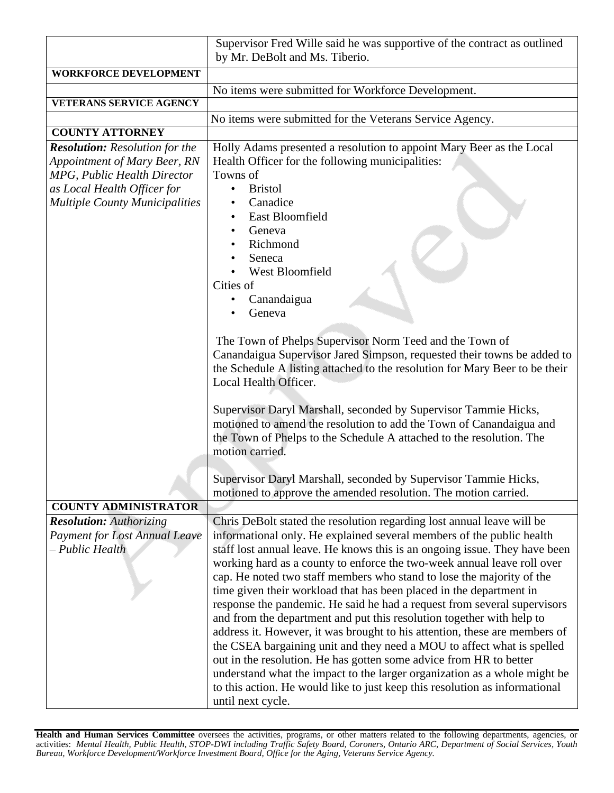|                                                                                                                                                                              | Supervisor Fred Wille said he was supportive of the contract as outlined<br>by Mr. DeBolt and Ms. Tiberio.                                                                                                                                                                                                                                                                                                                                                                                                                                                                                                                                                                                                                                                                                                                                                                                                                                                                                                                   |  |
|------------------------------------------------------------------------------------------------------------------------------------------------------------------------------|------------------------------------------------------------------------------------------------------------------------------------------------------------------------------------------------------------------------------------------------------------------------------------------------------------------------------------------------------------------------------------------------------------------------------------------------------------------------------------------------------------------------------------------------------------------------------------------------------------------------------------------------------------------------------------------------------------------------------------------------------------------------------------------------------------------------------------------------------------------------------------------------------------------------------------------------------------------------------------------------------------------------------|--|
| <b>WORKFORCE DEVELOPMENT</b>                                                                                                                                                 |                                                                                                                                                                                                                                                                                                                                                                                                                                                                                                                                                                                                                                                                                                                                                                                                                                                                                                                                                                                                                              |  |
|                                                                                                                                                                              | No items were submitted for Workforce Development.                                                                                                                                                                                                                                                                                                                                                                                                                                                                                                                                                                                                                                                                                                                                                                                                                                                                                                                                                                           |  |
| <b>VETERANS SERVICE AGENCY</b>                                                                                                                                               |                                                                                                                                                                                                                                                                                                                                                                                                                                                                                                                                                                                                                                                                                                                                                                                                                                                                                                                                                                                                                              |  |
|                                                                                                                                                                              | No items were submitted for the Veterans Service Agency.                                                                                                                                                                                                                                                                                                                                                                                                                                                                                                                                                                                                                                                                                                                                                                                                                                                                                                                                                                     |  |
| <b>COUNTY ATTORNEY</b>                                                                                                                                                       |                                                                                                                                                                                                                                                                                                                                                                                                                                                                                                                                                                                                                                                                                                                                                                                                                                                                                                                                                                                                                              |  |
| <b>Resolution:</b> Resolution for the<br>Appointment of Mary Beer, RN<br>MPG, Public Health Director<br>as Local Health Officer for<br><b>Multiple County Municipalities</b> | Holly Adams presented a resolution to appoint Mary Beer as the Local<br>Health Officer for the following municipalities:<br>Towns of<br><b>Bristol</b><br>$\bullet$<br>Canadice<br>East Bloomfield<br>Geneva<br>Richmond<br>Seneca<br>West Bloomfield<br>Cities of<br>Canandaigua<br>Geneva                                                                                                                                                                                                                                                                                                                                                                                                                                                                                                                                                                                                                                                                                                                                  |  |
|                                                                                                                                                                              | The Town of Phelps Supervisor Norm Teed and the Town of<br>Canandaigua Supervisor Jared Simpson, requested their towns be added to<br>the Schedule A listing attached to the resolution for Mary Beer to be their<br>Local Health Officer.<br>Supervisor Daryl Marshall, seconded by Supervisor Tammie Hicks,<br>motioned to amend the resolution to add the Town of Canandaigua and<br>the Town of Phelps to the Schedule A attached to the resolution. The<br>motion carried.<br>Supervisor Daryl Marshall, seconded by Supervisor Tammie Hicks,                                                                                                                                                                                                                                                                                                                                                                                                                                                                           |  |
|                                                                                                                                                                              | motioned to approve the amended resolution. The motion carried.                                                                                                                                                                                                                                                                                                                                                                                                                                                                                                                                                                                                                                                                                                                                                                                                                                                                                                                                                              |  |
| <b>COUNTY ADMINISTRATOR</b>                                                                                                                                                  |                                                                                                                                                                                                                                                                                                                                                                                                                                                                                                                                                                                                                                                                                                                                                                                                                                                                                                                                                                                                                              |  |
| <b>Resolution:</b> Authorizing<br><b>Payment for Lost Annual Leave</b><br>- Public Health                                                                                    | Chris DeBolt stated the resolution regarding lost annual leave will be<br>informational only. He explained several members of the public health<br>staff lost annual leave. He knows this is an ongoing issue. They have been<br>working hard as a county to enforce the two-week annual leave roll over<br>cap. He noted two staff members who stand to lose the majority of the<br>time given their workload that has been placed in the department in<br>response the pandemic. He said he had a request from several supervisors<br>and from the department and put this resolution together with help to<br>address it. However, it was brought to his attention, these are members of<br>the CSEA bargaining unit and they need a MOU to affect what is spelled<br>out in the resolution. He has gotten some advice from HR to better<br>understand what the impact to the larger organization as a whole might be<br>to this action. He would like to just keep this resolution as informational<br>until next cycle. |  |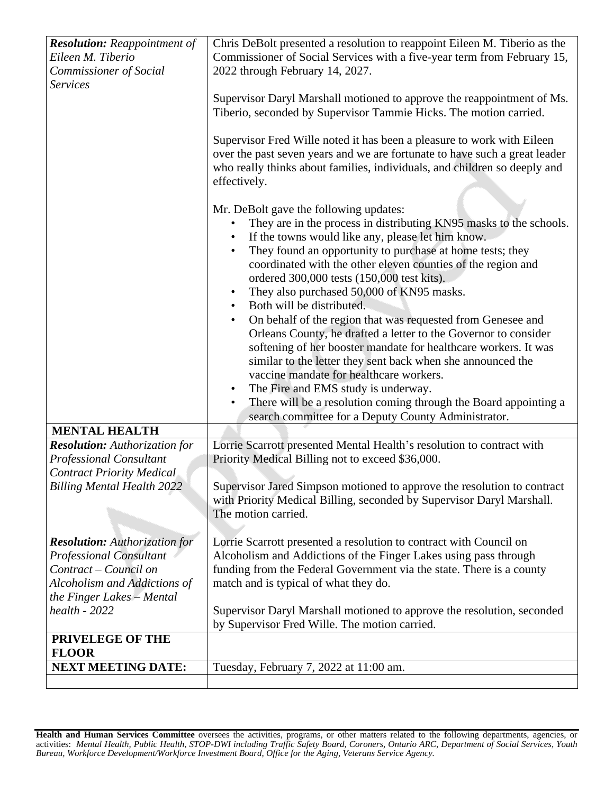| <b>Resolution:</b> Reappointment of                                                                                                                          | Chris DeBolt presented a resolution to reappoint Eileen M. Tiberio as the                                                                                                                                                                                                                                                                                                                                                                                                                                                                                                                                                                                                                                                                                                                                                                                                                                                                                                             |
|--------------------------------------------------------------------------------------------------------------------------------------------------------------|---------------------------------------------------------------------------------------------------------------------------------------------------------------------------------------------------------------------------------------------------------------------------------------------------------------------------------------------------------------------------------------------------------------------------------------------------------------------------------------------------------------------------------------------------------------------------------------------------------------------------------------------------------------------------------------------------------------------------------------------------------------------------------------------------------------------------------------------------------------------------------------------------------------------------------------------------------------------------------------|
| Eileen M. Tiberio                                                                                                                                            | Commissioner of Social Services with a five-year term from February 15,                                                                                                                                                                                                                                                                                                                                                                                                                                                                                                                                                                                                                                                                                                                                                                                                                                                                                                               |
| Commissioner of Social                                                                                                                                       | 2022 through February 14, 2027.                                                                                                                                                                                                                                                                                                                                                                                                                                                                                                                                                                                                                                                                                                                                                                                                                                                                                                                                                       |
| <b>Services</b>                                                                                                                                              | Supervisor Daryl Marshall motioned to approve the reappointment of Ms.<br>Tiberio, seconded by Supervisor Tammie Hicks. The motion carried.<br>Supervisor Fred Wille noted it has been a pleasure to work with Eileen<br>over the past seven years and we are fortunate to have such a great leader<br>who really thinks about families, individuals, and children so deeply and<br>effectively.                                                                                                                                                                                                                                                                                                                                                                                                                                                                                                                                                                                      |
|                                                                                                                                                              | Mr. DeBolt gave the following updates:<br>They are in the process in distributing KN95 masks to the schools.<br>$\bullet$<br>If the towns would like any, please let him know.<br>They found an opportunity to purchase at home tests; they<br>coordinated with the other eleven counties of the region and<br>ordered 300,000 tests (150,000 test kits).<br>They also purchased 50,000 of KN95 masks.<br>$\bullet$<br>Both will be distributed.<br>$\bullet$<br>On behalf of the region that was requested from Genesee and<br>$\bullet$<br>Orleans County, he drafted a letter to the Governor to consider<br>softening of her booster mandate for healthcare workers. It was<br>similar to the letter they sent back when she announced the<br>vaccine mandate for healthcare workers.<br>The Fire and EMS study is underway.<br>$\bullet$<br>There will be a resolution coming through the Board appointing a<br>$\bullet$<br>search committee for a Deputy County Administrator. |
| <b>MENTAL HEALTH</b>                                                                                                                                         |                                                                                                                                                                                                                                                                                                                                                                                                                                                                                                                                                                                                                                                                                                                                                                                                                                                                                                                                                                                       |
| <b>Resolution:</b> Authorization for<br><b>Professional Consultant</b><br><b>Contract Priority Medical</b>                                                   | Lorrie Scarrott presented Mental Health's resolution to contract with<br>Priority Medical Billing not to exceed \$36,000.                                                                                                                                                                                                                                                                                                                                                                                                                                                                                                                                                                                                                                                                                                                                                                                                                                                             |
| <b>Billing Mental Health 2022</b>                                                                                                                            | Supervisor Jared Simpson motioned to approve the resolution to contract<br>with Priority Medical Billing, seconded by Supervisor Daryl Marshall.<br>The motion carried.                                                                                                                                                                                                                                                                                                                                                                                                                                                                                                                                                                                                                                                                                                                                                                                                               |
| <b>Resolution:</b> Authorization for<br><b>Professional Consultant</b><br>Contract – Council on<br>Alcoholism and Addictions of<br>the Finger Lakes - Mental | Lorrie Scarrott presented a resolution to contract with Council on<br>Alcoholism and Addictions of the Finger Lakes using pass through<br>funding from the Federal Government via the state. There is a county<br>match and is typical of what they do.                                                                                                                                                                                                                                                                                                                                                                                                                                                                                                                                                                                                                                                                                                                               |
| $health - 2022$                                                                                                                                              | Supervisor Daryl Marshall motioned to approve the resolution, seconded<br>by Supervisor Fred Wille. The motion carried.                                                                                                                                                                                                                                                                                                                                                                                                                                                                                                                                                                                                                                                                                                                                                                                                                                                               |
| PRIVELEGE OF THE                                                                                                                                             |                                                                                                                                                                                                                                                                                                                                                                                                                                                                                                                                                                                                                                                                                                                                                                                                                                                                                                                                                                                       |
| <b>FLOOR</b>                                                                                                                                                 |                                                                                                                                                                                                                                                                                                                                                                                                                                                                                                                                                                                                                                                                                                                                                                                                                                                                                                                                                                                       |
| <b>NEXT MEETING DATE:</b>                                                                                                                                    | Tuesday, February 7, 2022 at 11:00 am.                                                                                                                                                                                                                                                                                                                                                                                                                                                                                                                                                                                                                                                                                                                                                                                                                                                                                                                                                |
|                                                                                                                                                              |                                                                                                                                                                                                                                                                                                                                                                                                                                                                                                                                                                                                                                                                                                                                                                                                                                                                                                                                                                                       |